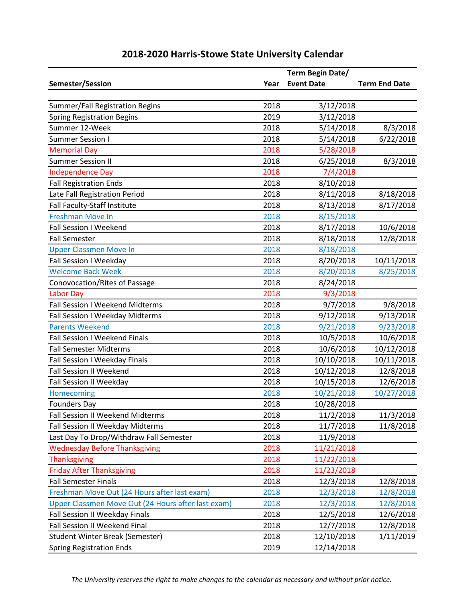|                                                    |      | Term Begin Date/  |                      |
|----------------------------------------------------|------|-------------------|----------------------|
| Semester/Session                                   | Year | <b>Event Date</b> | <b>Term End Date</b> |
|                                                    |      |                   |                      |
| Summer/Fall Registration Begins                    | 2018 | 3/12/2018         |                      |
| <b>Spring Registration Begins</b>                  | 2019 | 3/12/2018         |                      |
| Summer 12-Week                                     | 2018 | 5/14/2018         | 8/3/2018             |
| <b>Summer Session I</b>                            | 2018 | 5/14/2018         | 6/22/2018            |
| <b>Memorial Day</b>                                | 2018 | 5/28/2018         |                      |
| <b>Summer Session II</b>                           | 2018 | 6/25/2018         | 8/3/2018             |
| <b>Independence Day</b>                            | 2018 | 7/4/2018          |                      |
| <b>Fall Registration Ends</b>                      | 2018 | 8/10/2018         |                      |
| Late Fall Registration Period                      | 2018 | 8/11/2018         | 8/18/2018            |
| Fall Faculty-Staff Institute                       | 2018 | 8/13/2018         | 8/17/2018            |
| <b>Freshman Move In</b>                            | 2018 | 8/15/2018         |                      |
| <b>Fall Session I Weekend</b>                      | 2018 | 8/17/2018         | 10/6/2018            |
| <b>Fall Semester</b>                               | 2018 | 8/18/2018         | 12/8/2018            |
| <b>Upper Classmen Move In</b>                      | 2018 | 8/18/2018         |                      |
| Fall Session I Weekday                             | 2018 | 8/20/2018         | 10/11/2018           |
| <b>Welcome Back Week</b>                           | 2018 | 8/20/2018         | 8/25/2018            |
| Conovocation/Rites of Passage                      | 2018 | 8/24/2018         |                      |
| <b>Labor Day</b>                                   | 2018 | 9/3/2018          |                      |
| Fall Session I Weekend Midterms                    | 2018 | 9/7/2018          | 9/8/2018             |
| Fall Session I Weekday Midterms                    | 2018 | 9/12/2018         | 9/13/2018            |
| <b>Parents Weekend</b>                             | 2018 | 9/21/2018         | 9/23/2018            |
| Fall Session I Weekend Finals                      | 2018 | 10/5/2018         | 10/6/2018            |
| <b>Fall Semester Midterms</b>                      | 2018 | 10/6/2018         | 10/12/2018           |
| Fall Session I Weekday Finals                      | 2018 | 10/10/2018        | 10/11/2018           |
| <b>Fall Session II Weekend</b>                     | 2018 | 10/12/2018        | 12/8/2018            |
| Fall Session II Weekday                            | 2018 | 10/15/2018        | 12/6/2018            |
| Homecoming                                         | 2018 | 10/21/2018        | 10/27/2018           |
| <b>Founders Day</b>                                | 2018 | 10/28/2018        |                      |
| Fall Session II Weekend Midterms                   | 2018 | 11/2/2018         | 11/3/2018            |
| Fall Session II Weekday Midterms                   | 2018 | 11/7/2018         | 11/8/2018            |
| Last Day To Drop/Withdraw Fall Semester            | 2018 | 11/9/2018         |                      |
| <b>Wednesday Before Thanksgiving</b>               | 2018 | 11/21/2018        |                      |
| <b>Thanksgiving</b>                                | 2018 | 11/22/2018        |                      |
| <b>Friday After Thanksgiving</b>                   | 2018 | 11/23/2018        |                      |
| <b>Fall Semester Finals</b>                        | 2018 | 12/3/2018         | 12/8/2018            |
| Freshman Move Out (24 Hours after last exam)       | 2018 | 12/3/2018         | 12/8/2018            |
| Upper Classmen Move Out (24 Hours after last exam) | 2018 | 12/3/2018         | 12/8/2018            |
| Fall Session II Weekday Finals                     | 2018 | 12/5/2018         | 12/6/2018            |
| Fall Session II Weekend Final                      | 2018 | 12/7/2018         | 12/8/2018            |
| Student Winter Break (Semester)                    | 2018 | 12/10/2018        | 1/11/2019            |
| <b>Spring Registration Ends</b>                    | 2019 | 12/14/2018        |                      |

*The University reserves the right to make changes to the calendar as necessary and without prior notice.*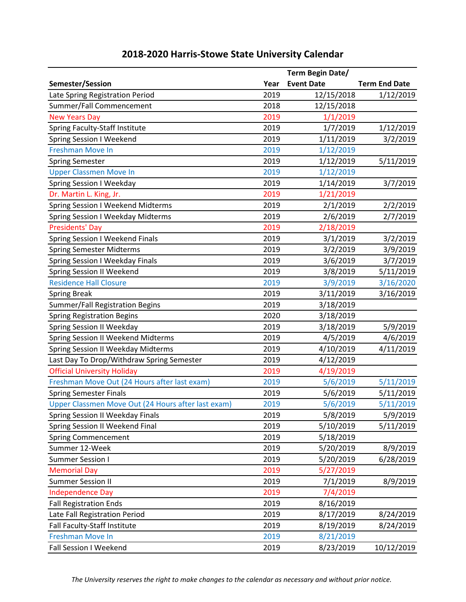|                                                    |      | Term Begin Date/  |                      |
|----------------------------------------------------|------|-------------------|----------------------|
| Semester/Session                                   | Year | <b>Event Date</b> | <b>Term End Date</b> |
| Late Spring Registration Period                    | 2019 | 12/15/2018        | 1/12/2019            |
| Summer/Fall Commencement                           | 2018 | 12/15/2018        |                      |
| <b>New Years Day</b>                               | 2019 | 1/1/2019          |                      |
| Spring Faculty-Staff Institute                     | 2019 | 1/7/2019          | 1/12/2019            |
| Spring Session I Weekend                           | 2019 | 1/11/2019         | 3/2/2019             |
| <b>Freshman Move In</b>                            | 2019 | 1/12/2019         |                      |
| <b>Spring Semester</b>                             | 2019 | 1/12/2019         | 5/11/2019            |
| <b>Upper Classmen Move In</b>                      | 2019 | 1/12/2019         |                      |
| <b>Spring Session I Weekday</b>                    | 2019 | 1/14/2019         | 3/7/2019             |
| Dr. Martin L. King, Jr.                            | 2019 | 1/21/2019         |                      |
| Spring Session I Weekend Midterms                  | 2019 | 2/1/2019          | 2/2/2019             |
| Spring Session I Weekday Midterms                  | 2019 | 2/6/2019          | 2/7/2019             |
| <b>Presidents' Day</b>                             | 2019 | 2/18/2019         |                      |
| Spring Session I Weekend Finals                    | 2019 | 3/1/2019          | 3/2/2019             |
| <b>Spring Semester Midterms</b>                    | 2019 | 3/2/2019          | 3/9/2019             |
| <b>Spring Session I Weekday Finals</b>             | 2019 | 3/6/2019          | 3/7/2019             |
| Spring Session II Weekend                          | 2019 | 3/8/2019          | 5/11/2019            |
| <b>Residence Hall Closure</b>                      | 2019 | 3/9/2019          | 3/16/2020            |
| <b>Spring Break</b>                                | 2019 | 3/11/2019         | 3/16/2019            |
| Summer/Fall Registration Begins                    | 2019 | 3/18/2019         |                      |
| <b>Spring Registration Begins</b>                  | 2020 | 3/18/2019         |                      |
| Spring Session II Weekday                          | 2019 | 3/18/2019         | 5/9/2019             |
| Spring Session II Weekend Midterms                 | 2019 | 4/5/2019          | 4/6/2019             |
| Spring Session II Weekday Midterms                 | 2019 | 4/10/2019         | 4/11/2019            |
| Last Day To Drop/Withdraw Spring Semester          | 2019 | 4/12/2019         |                      |
| <b>Official University Holiday</b>                 | 2019 | 4/19/2019         |                      |
| Freshman Move Out (24 Hours after last exam)       | 2019 | 5/6/2019          | 5/11/2019            |
| <b>Spring Semester Finals</b>                      | 2019 | 5/6/2019          | 5/11/2019            |
| Upper Classmen Move Out (24 Hours after last exam) | 2019 | 5/6/2019          | 5/11/2019            |
| Spring Session II Weekday Finals                   | 2019 | 5/8/2019          | 5/9/2019             |
| Spring Session II Weekend Final                    | 2019 | 5/10/2019         | 5/11/2019            |
| <b>Spring Commencement</b>                         | 2019 | 5/18/2019         |                      |
| Summer 12-Week                                     | 2019 | 5/20/2019         | 8/9/2019             |
| <b>Summer Session I</b>                            | 2019 | 5/20/2019         | 6/28/2019            |
| <b>Memorial Day</b>                                | 2019 | 5/27/2019         |                      |
| <b>Summer Session II</b>                           | 2019 | 7/1/2019          | 8/9/2019             |
| <b>Independence Day</b>                            | 2019 | 7/4/2019          |                      |
| <b>Fall Registration Ends</b>                      | 2019 | 8/16/2019         |                      |
| Late Fall Registration Period                      | 2019 | 8/17/2019         | 8/24/2019            |
| Fall Faculty-Staff Institute                       | 2019 | 8/19/2019         | 8/24/2019            |
| <b>Freshman Move In</b>                            | 2019 | 8/21/2019         |                      |
| Fall Session I Weekend                             | 2019 | 8/23/2019         | 10/12/2019           |

*The University reserves the right to make changes to the calendar as necessary and without prior notice.*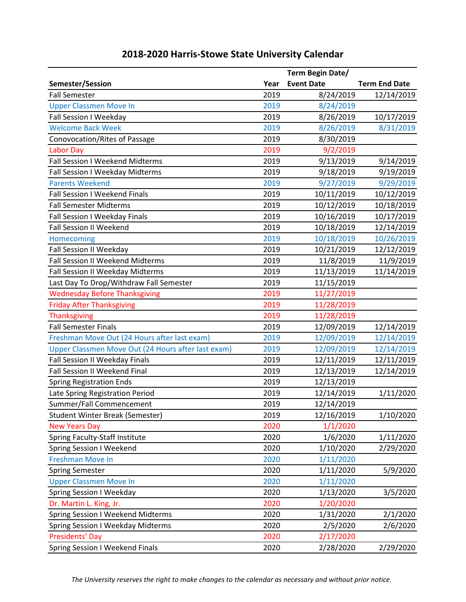|                                                    |      | Term Begin Date/  |                      |
|----------------------------------------------------|------|-------------------|----------------------|
| Semester/Session                                   | Year | <b>Event Date</b> | <b>Term End Date</b> |
| <b>Fall Semester</b>                               | 2019 | 8/24/2019         | 12/14/2019           |
| <b>Upper Classmen Move In</b>                      | 2019 | 8/24/2019         |                      |
| Fall Session I Weekday                             | 2019 | 8/26/2019         | 10/17/2019           |
| <b>Welcome Back Week</b>                           | 2019 | 8/26/2019         | 8/31/2019            |
| Conovocation/Rites of Passage                      | 2019 | 8/30/2019         |                      |
| <b>Labor Day</b>                                   | 2019 | 9/2/2019          |                      |
| Fall Session I Weekend Midterms                    | 2019 | 9/13/2019         | 9/14/2019            |
| Fall Session I Weekday Midterms                    | 2019 | 9/18/2019         | 9/19/2019            |
| <b>Parents Weekend</b>                             | 2019 | 9/27/2019         | 9/29/2019            |
| Fall Session I Weekend Finals                      | 2019 | 10/11/2019        | 10/12/2019           |
| <b>Fall Semester Midterms</b>                      | 2019 | 10/12/2019        | 10/18/2019           |
| Fall Session I Weekday Finals                      | 2019 | 10/16/2019        | 10/17/2019           |
| <b>Fall Session II Weekend</b>                     | 2019 | 10/18/2019        | 12/14/2019           |
| Homecoming                                         | 2019 | 10/18/2019        | 10/26/2019           |
| Fall Session II Weekday                            | 2019 | 10/21/2019        | 12/12/2019           |
| Fall Session II Weekend Midterms                   | 2019 | 11/8/2019         | 11/9/2019            |
| Fall Session II Weekday Midterms                   | 2019 | 11/13/2019        | 11/14/2019           |
| Last Day To Drop/Withdraw Fall Semester            | 2019 | 11/15/2019        |                      |
| <b>Wednesday Before Thanksgiving</b>               | 2019 | 11/27/2019        |                      |
| <b>Friday After Thanksgiving</b>                   | 2019 | 11/28/2019        |                      |
| <b>Thanksgiving</b>                                | 2019 | 11/28/2019        |                      |
| <b>Fall Semester Finals</b>                        | 2019 | 12/09/2019        | 12/14/2019           |
| Freshman Move Out (24 Hours after last exam)       | 2019 | 12/09/2019        | 12/14/2019           |
| Upper Classmen Move Out (24 Hours after last exam) | 2019 | 12/09/2019        | 12/14/2019           |
| Fall Session II Weekday Finals                     | 2019 | 12/11/2019        | 12/11/2019           |
| Fall Session II Weekend Final                      | 2019 | 12/13/2019        | 12/14/2019           |
| <b>Spring Registration Ends</b>                    | 2019 | 12/13/2019        |                      |
| Late Spring Registration Period                    | 2019 | 12/14/2019        | 1/11/2020            |
| Summer/Fall Commencement                           | 2019 | 12/14/2019        |                      |
| Student Winter Break (Semester)                    | 2019 | 12/16/2019        | 1/10/2020            |
| <b>New Years Day</b>                               | 2020 | 1/1/2020          |                      |
| Spring Faculty-Staff Institute                     | 2020 | 1/6/2020          | 1/11/2020            |
| Spring Session I Weekend                           | 2020 | 1/10/2020         | 2/29/2020            |
| <b>Freshman Move In</b>                            | 2020 | 1/11/2020         |                      |
| <b>Spring Semester</b>                             | 2020 | 1/11/2020         | 5/9/2020             |
| <b>Upper Classmen Move In</b>                      | 2020 | 1/11/2020         |                      |
| <b>Spring Session I Weekday</b>                    | 2020 | 1/13/2020         | 3/5/2020             |
| Dr. Martin L. King, Jr.                            | 2020 | 1/20/2020         |                      |
| <b>Spring Session I Weekend Midterms</b>           | 2020 | 1/31/2020         | 2/1/2020             |
| <b>Spring Session I Weekday Midterms</b>           | 2020 | 2/5/2020          | 2/6/2020             |
| Presidents' Day                                    | 2020 | 2/17/2020         |                      |
| <b>Spring Session I Weekend Finals</b>             | 2020 | 2/28/2020         | 2/29/2020            |

*The University reserves the right to make changes to the calendar as necessary and without prior notice.*